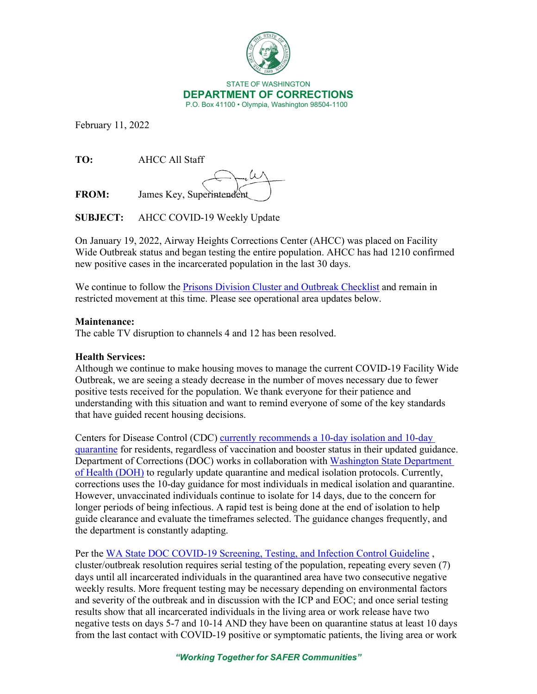

February 11, 2022

**TO:** AHCC All Staff

**FROM:** James Key, Superintendent

**SUBJECT:** AHCC COVID-19 Weekly Update

On January 19, 2022, Airway Heights Corrections Center (AHCC) was placed on Facility Wide Outbreak status and began testing the entire population. AHCC has had 1210 confirmed new positive cases in the incarcerated population in the last 30 days.

We continue to follow the [Prisons Division Cluster and Outbreak Checklist](https://doc.wa.gov/corrections/covid-19/docs/outbreak-checklist.pdf) and remain in restricted movement at this time. Please see operational area updates below.

## **Maintenance:**

The cable TV disruption to channels 4 and 12 has been resolved.

## **Health Services:**

Although we continue to make housing moves to manage the current COVID-19 Facility Wide Outbreak, we are seeing a steady decrease in the number of moves necessary due to fewer positive tests received for the population. We thank everyone for their patience and understanding with this situation and want to remind everyone of some of the key standards that have guided recent housing decisions.

Centers for Disease Control (CDC) [currently recommends a 10-day isolation and 10-day](https://www.cdc.gov/coronavirus/2019-ncov/community/correction-detention/guidance-correctional-detention.html#Medicalisolation)  [quarantine](https://www.cdc.gov/coronavirus/2019-ncov/community/correction-detention/guidance-correctional-detention.html#Medicalisolation) for residents, regardless of vaccination and booster status in their updated guidance. Department of Corrections (DOC) works in collaboration with [Washington State Department](https://www.doh.wa.gov/)  [of Health \(DOH\)](https://www.doh.wa.gov/) to regularly update quarantine and medical isolation protocols. Currently, corrections uses the 10-day guidance for most individuals in medical isolation and quarantine. However, unvaccinated individuals continue to isolate for 14 days, due to the concern for longer periods of being infectious. A rapid test is being done at the end of isolation to help guide clearance and evaluate the timeframes selected. The guidance changes frequently, and the department is constantly adapting.

Per the WA State DOC COVID-19 Screening, Testing, and Infection Control Guideline, cluster/outbreak resolution requires serial testing of the population, repeating every seven (7) days until all incarcerated individuals in the quarantined area have two consecutive negative weekly results. More frequent testing may be necessary depending on environmental factors and severity of the outbreak and in discussion with the ICP and EOC; and once serial testing results show that all incarcerated individuals in the living area or work release have two negative tests on days 5-7 and 10-14 AND they have been on quarantine status at least 10 days from the last contact with COVID-19 positive or symptomatic patients, the living area or work

*"Working Together for SAFER Communities"*